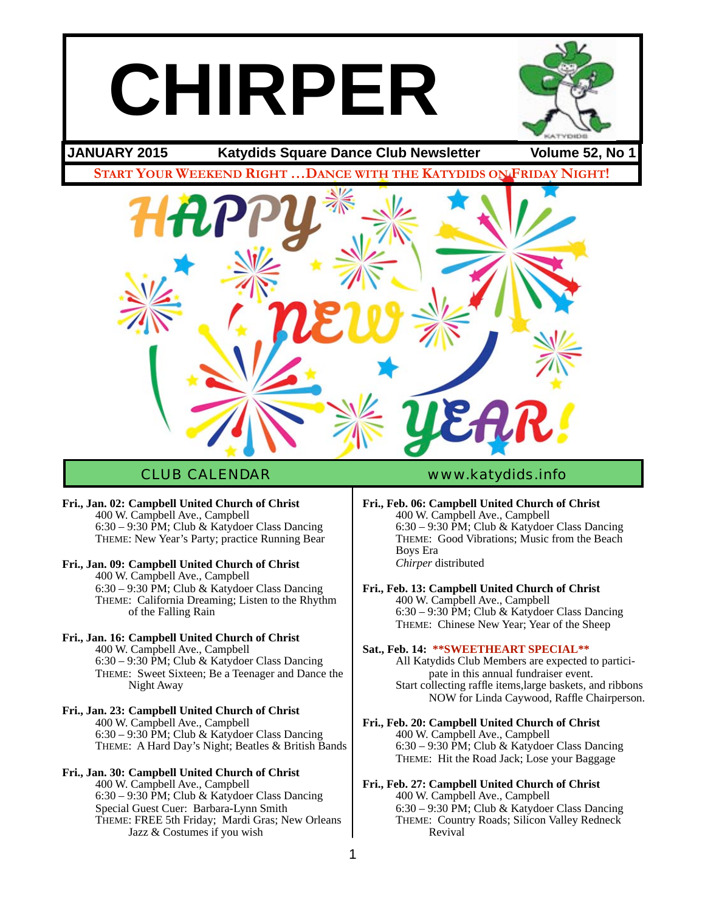# **CHIRPER**



## **JANUARY 2015 Katydids Square Dance Club Newsletter Volume 52, No 1**

**START YOUR WEEKEND RIGHT …DANCE WITH THE KATYDIDS ON FRIDAY NIGHT!**



## CLUB CALENDAR [www.katydids.info](http://www.katydids.info)

- **Fri., Jan. 02: Campbell United Church of Christ** 400 W. Campbell Ave., Campbell  $6:30 - 9:30$  PM; Club & Katydoer Class Dancing THEME: New Year's Party; practice Running Bear
- **Fri., Jan. 09: Campbell United Church of Christ** 400 W. Campbell Ave., Campbell  $6:30 - 9:30 \text{ PM}$ ; Club & Katydoer Class Dancing THEME: California Dreaming; Listen to the Rhythm of the Falling Rain
- **Fri., Jan. 16: Campbell United Church of Christ** 400 W. Campbell Ave., Campbell 6:30 – 9:30 PM; Club & Katydoer Class Dancing THEME: Sweet Sixteen; Be a Teenager and Dance the Night Away
- **Fri., Jan. 23: Campbell United Church of Christ** 400 W. Campbell Ave., Campbell 6:30 – 9:30 PM; Club & Katydoer Class Dancing THEME: A Hard Day's Night; Beatles & British Bands

## **Fri., Jan. 30: Campbell United Church of Christ** 400 W. Campbell Ave., Campbell

6:30 – 9:30 PM; Club & Katydoer Class Dancing Special Guest Cuer: Barbara-Lynn Smith THEME: FREE 5th Friday; Mardi Gras; New Orleans Jazz & Costumes if you wish

- **Fri., Feb. 06: Campbell United Church of Christ** 400 W. Campbell Ave., Campbell 6:30 – 9:30 PM; Club & Katydoer Class Dancing THEME: Good Vibrations; Music from the Beach Boys Era *Chirper* distributed
- **Fri., Feb. 13: Campbell United Church of Christ** 400 W. Campbell Ave., Campbell 6:30 – 9:30 PM; Club & Katydoer Class Dancing THEME: Chinese New Year; Year of the Sheep

## **Sat., Feb. 14: \*\*SWEETHEART SPECIAL\*\***

All Katydids Club Members are expected to partici pate in this annual fundraiser event. Start collecting raffle items,large baskets, and ribbons NOW for Linda Caywood, Raffle Chairperson.

- **Fri., Feb. 20: Campbell United Church of Christ** 400 W. Campbell Ave., Campbell 6:30 – 9:30 PM; Club & Katydoer Class Dancing THEME: Hit the Road Jack; Lose your Baggage
- **Fri., Feb. 27: Campbell United Church of Christ** 400 W. Campbell Ave., Campbell 6:30 – 9:30 PM; Club & Katydoer Class Dancing THEME: Country Roads; Silicon Valley Redneck Revival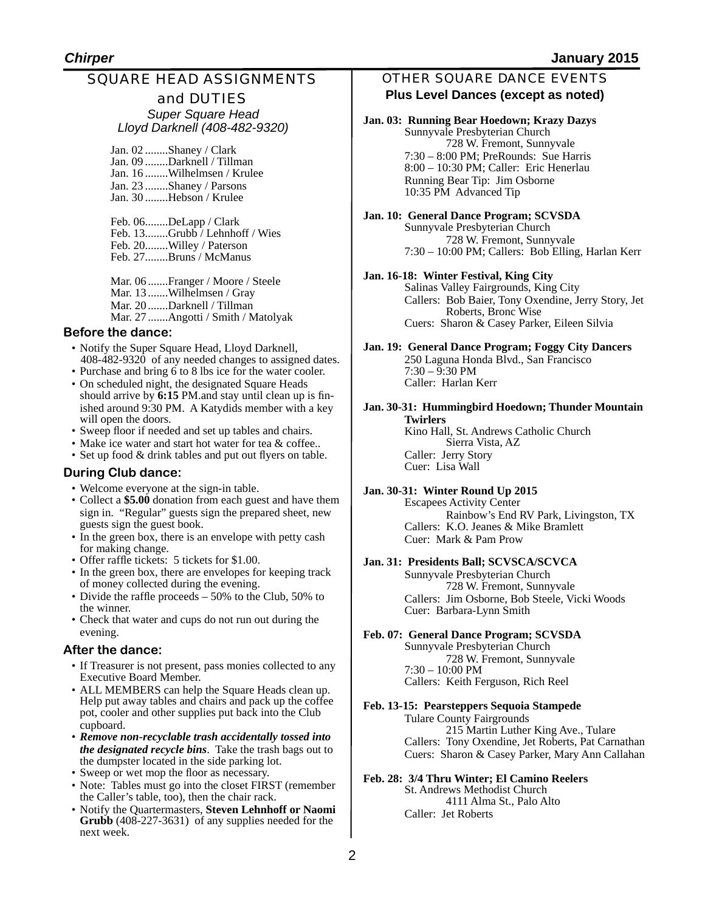## SQUARE HEAD ASSIGNMENTS

#### and DUTIES *Super Square Head Lloyd Darknell (408-482-9320)*

| Jan. 02 Shaney / Clark      |
|-----------------------------|
| Jan. 09 Darknell / Tillman  |
| Jan. 16 Wilhelmsen / Krulee |
| Jan. 23 Shaney / Parsons    |
| Jan. 30 Hebson / Krulee     |
|                             |

Feb. 06........DeLapp / Clark Feb. 13........Grubb / Lehnhoff / Wies Feb. 20........Willey / Paterson Feb. 27........Bruns / McManus

Mar. 06 .......Franger / Moore / Steele Mar. 13 .......Wilhelmsen / Gray Mar. 20 .......Darknell / Tillman Mar. 27 .......Angotti / Smith / Matolyak

#### **Before the dance:**

- Notify the Super Square Head, Lloyd Darknell, 408-482-9320 of any needed changes to assigned dates.
- Purchase and bring 6 to 8 lbs ice for the water cooler. • On scheduled night, the designated Square Heads should arrive by **6:15** PM.and stay until clean up is fin-
- ished around 9:30 PM. A Katydids member with a key will open the doors.
- Sweep floor if needed and set up tables and chairs.
- Make ice water and start hot water for tea & coffee..
- Set up food & drink tables and put out flyers on table.

## **During Club dance:**

- Welcome everyone at the sign-in table.
- Collect a **\$5.00** donation from each guest and have them sign in. "Regular" guests sign the prepared sheet, new guests sign the guest book.
- In the green box, there is an envelope with petty cash for making change.
- Offer raffle tickets: 5 tickets for \$1.00.
- In the green box, there are envelopes for keeping track of money collected during the evening.
- Divide the raffle proceeds 50% to the Club, 50% to the winner.
- Check that water and cups do not run out during the evening.

## **After the dance:**

- If Treasurer is not present, pass monies collected to any Executive Board Member.
- ALL MEMBERS can help the Square Heads clean up. Help put away tables and chairs and pack up the coffee pot, cooler and other supplies put back into the Club cupboard.
- *Remove non-recyclable trash accidentally tossed into the designated recycle bins*. Take the trash bags out to the dumpster located in the side parking lot.
- Sweep or wet mop the floor as necessary.
- Note: Tables must go into the closet FIRST (remember the Caller's table, too), then the chair rack.
- Notify the Quartermasters, **Steven Lehnhoff or Naomi Grubb** (408-227-3631) of any supplies needed for the next week.

## OTHER SQUARE DANCE EVENTS **Plus Level Dances (except as noted)**

## **Jan. 03: Running Bear Hoedown; Krazy Dazys**

Sunnyvale Presbyterian Church<br>
728 W. Fremont, Sunnyvale 7:30 – 8:00 PM; PreRounds: Sue Harris 8:00 – 10:30 PM; Caller: Eric Henerlau Running Bear Tip: Jim Osborne 10:35 PM Advanced Tip

**Jan. 10: General Dance Program; SCVSDA** Sunnyvale Presbyterian Church ! ! 728 W. Fremont, Sunnyvale 7:30 – 10:00 PM; Callers: Bob Elling, Harlan Kerr

#### **Jan. 16-18: Winter Festival, King City**

Salinas Valley Fairgrounds, King City Callers: Bob Baier, Tony Oxendine, Jerry Story, Jet<br> Roberts, Bronc Wise Cuers: Sharon & Casey Parker, Eileen Silvia

**Jan. 19: General Dance Program; Foggy City Dancers** 250 Laguna Honda Blvd., San Francisco  $7:30 - 9:30$  PM Caller: Harlan Kerr

**Jan. 30-31: Hummingbird Hoedown; Thunder Mountain Twirlers**

Kino Hall, St. Andrews Catholic Church Sierra Vista, AZ Caller: Jerry Story Cuer: Lisa Wall

#### **Jan. 30-31: Winter Round Up 2015**

Escapees Activity Center Rainbow's End RV Park, Livingston, TX Callers: K.O. Jeanes & Mike Bramlett Cuer: Mark & Pam Prow

#### **Jan. 31: Presidents Ball; SCVSCA/SCVCA**

Sunnyvale Presbyterian Church ! ! 728 W. Fremont, Sunnyvale Callers: Jim Osborne, Bob Steele, Vicki Woods Cuer: Barbara-Lynn Smith

#### **Feb. 07: General Dance Program; SCVSDA**

Sunnyvale Presbyterian Church 728 W. Fremont, Sunnyvale 7:30 – 10:00 PM Callers: Keith Ferguson, Rich Reel

#### **Feb. 13-15: Pearsteppers Sequoia Stampede**

Tulare County Fairgrounds 215 Martin Luther King Ave., Tulare Callers: Tony Oxendine, Jet Roberts, Pat Carnathan Cuers: Sharon & Casey Parker, Mary Ann Callahan

#### **Feb. 28: 3/4 Thru Winter; El Camino Reelers**

St. Andrews Methodist Church ! ! 4111 Alma St., Palo Alto Caller: Jet Roberts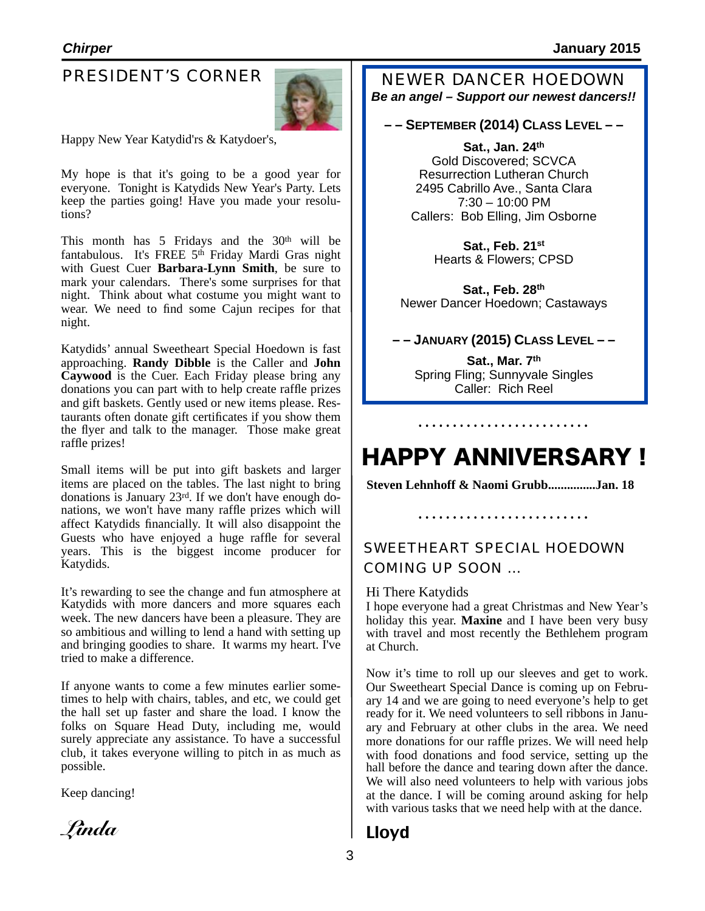## PRESIDENT'S CORNER



 Happy New Year Katydid'rs & Katydoer's,

My hope is that it's going to be a good year for everyone. Tonight is Katydids New Year's Party. Lets keep the parties going! Have you made your resolutions?

This month has  $5$  Fridays and the  $30<sup>th</sup>$  will be fantabulous. It's FREE 5<sup>th</sup> Friday Mardi Gras night with Guest Cuer **Barbara-Lynn Smith**, be sure to mark your calendars. There's some surprises for that night. Think about what costume you might want to wear. We need to find some Cajun recipes for that night.

Katydids' annual Sweetheart Special Hoedown is fast approaching. **Randy Dibble** is the Caller and **John Caywood** is the Cuer. Each Friday please bring any donations you can part with to help create raffle prizes and gift baskets. Gently used or new items please. Restaurants often donate gift certificates if you show them the flyer and talk to the manager. Those make great raffle prizes!

Small items will be put into gift baskets and larger items are placed on the tables. The last night to bring donations is January  $23^{rd}$ . If we don't have enough donations, we won't have many raffle prizes which will affect Katydids financially. It will also disappoint the Guests who have enjoyed a huge raffle for several years. This is the biggest income producer for Katydids.

It's rewarding to see the change and fun atmosphere at Katydids with more dancers and more squares each week. The new dancers have been a pleasure. They are so ambitious and willing to lend a hand with setting up and bringing goodies to share. It warms my heart. I've tried to make a difference.

If anyone wants to come a few minutes earlier sometimes to help with chairs, tables, and etc, we could get the hall set up faster and share the load. I know the folks on Square Head Duty, including me, would surely appreciate any assistance. To have a successful club, it takes everyone willing to pitch in as much as possible.

Keep dancing!

*Linda*

NEWER DANCER HOEDOWN *Be an angel – Support our newest dancers!!*

## **– – SEPTEMBER (2014) CLASS LEVEL – –**

**Sat., Jan. 24th** Gold Discovered; SCVCA Resurrection Lutheran Church 2495 Cabrillo Ave., Santa Clara 7:30 – 10:00 PM Callers: Bob Elling, Jim Osborne

> **Sat., Feb. 21st** Hearts & Flowers; CPSD

**Sat., Feb. 28th** Newer Dancer Hoedown; Castaways

## **– – JANUARY (2015) CLASS LEVEL – –**

**Sat., Mar. 7th** Spring Fling; Sunnyvale Singles Caller: Rich Reel

# HAPPY ANNIVERSARY !

**Steven Lehnhoff & Naomi Grubb...............Jan. 18**

## SWEETHEART SPECIAL HOEDOWN COMING UP SOON …

#### Hi There Katydids

I hope everyone had a great Christmas and New Year's holiday this year. **Maxine** and I have been very busy with travel and most recently the Bethlehem program at Church.

Now it's time to roll up our sleeves and get to work. Our Sweetheart Special Dance is coming up on February 14 and we are going to need everyone's help to get ready for it. We need volunteers to sell ribbons in January and February at other clubs in the area. We need more donations for our raffle prizes. We will need help with food donations and food service, setting up the hall before the dance and tearing down after the dance. We will also need volunteers to help with various jobs at the dance. I will be coming around asking for help with various tasks that we need help with at the dance.

## Lloyd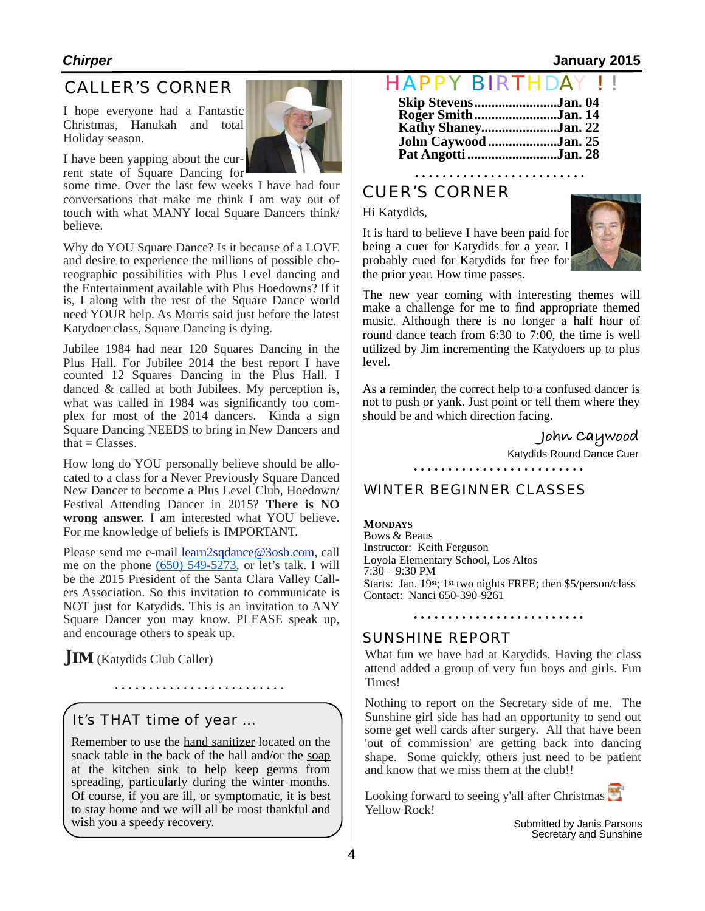## *Chirper* **January 2015**

## CALLER'S CORNER

I hope everyone had a Fantastic Christmas, Hanukah and total Holiday season.



I have been yapping about the current state of Square Dancing for

some time. Over the last few weeks I have had four conversations that make me think I am way out of touch with what MANY local Square Dancers think/ believe.

Why do YOU Square Dance? Is it because of a LOVE and desire to experience the millions of possible choreographic possibilities with Plus Level dancing and the Entertainment available with Plus Hoedowns? If it is, I along with the rest of the Square Dance world need YOUR help. As Morris said just before the latest Katydoer class, Square Dancing is dying.

Jubilee 1984 had near 120 Squares Dancing in the Plus Hall. For Jubilee 2014 the best report I have counted 12 Squares Dancing in the Plus Hall. I danced & called at both Jubilees. My perception is, what was called in 1984 was significantly too complex for most of the 2014 dancers. Kinda a sign Square Dancing NEEDS to bring in New Dancers and that  $=$  Classes.

How long do YOU personally believe should be allocated to a class for a Never Previously Square Danced New Dancer to become a Plus Level Club, Hoedown/ Festival Attending Dancer in 2015? **There is NO wrong answer.** I am interested what YOU believe. For me knowledge of beliefs is IMPORTANT.

Please send me e-mail [learn2sqdance@3osb.com,](mailto:learn2sqdance@3osb.com) call me on the phone  $(650)$  549-5273, or let's talk. I will be the 2015 President of the Santa Clara Valley Callers Association. So this invitation to communicate is NOT just for Katydids. This is an invitation to ANY Square Dancer you may know. PLEASE speak up, and encourage others to speak up.

**JIM** (Katydids Club Caller)

It's THAT time of year …

Remember to use the hand sanitizer located on the snack table in the back of the hall and/or the soap at the kitchen sink to help keep germs from spreading, particularly during the winter months. Of course, if you are ill, or symptomatic, it is best to stay home and we will all be most thankful and wish you a speedy recovery.

## HAPPY BIRTHDA

| Skip StevensJan. 04<br>Roger SmithJan. 14   |  |
|---------------------------------------------|--|
| Kathy ShaneyJan. 22                         |  |
| John Caywood Jan. 25<br>Pat Angotti Jan. 28 |  |

## CUER'S CORNER

#### Hi Katydids,

It is hard to believe I have been paid for being a cuer for Katydids for a year. I probably cued for Katydids for free for the prior year. How time passes.



The new year coming with interesting themes will make a challenge for me to find appropriate themed music. Although there is no longer a half hour of round dance teach from 6:30 to 7:00, the time is well utilized by Jim incrementing the Katydoers up to plus level.

As a reminder, the correct help to a confused dancer is not to push or yank. Just point or tell them where they should be and which direction facing.

**John Caywood**

Katydids Round Dance Cuer

## WINTER BEGINNER CLASSES

**MONDAYS** Bows & Beaus Instructor: Keith Ferguson Loyola Elementary School, Los Altos 7:30 – 9:30 PM Starts: Jan. 19st; 1st two nights FREE; then \$5/person/class Contact: Nanci 650-390-9261

## SUNSHINE REPORT

What fun we have had at Katydids. Having the class attend added a group of very fun boys and girls. Fun Times!

Nothing to report on the Secretary side of me. The Sunshine girl side has had an opportunity to send out some get well cards after surgery. All that have been 'out of commission' are getting back into dancing shape. Some quickly, others just need to be patient and know that we miss them at the club!!

Looking forward to seeing y'all after Christmas Yellow Rock!

> Submitted by Janis Parsons Secretary and Sunshine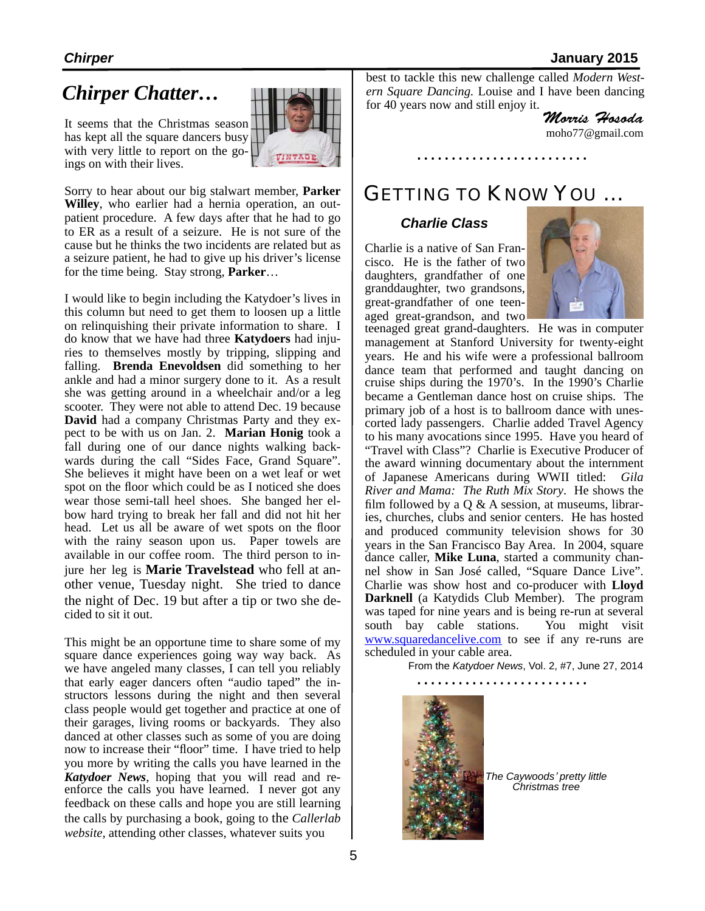## *Chirper* **January 2015**

## *Chirper Chatter…*

It seems that the Christmas season has kept all the square dancers busy with very little to report on the goings on with their lives.



Sorry to hear about our big stalwart member, **Parker Willey**, who earlier had a hernia operation, an outpatient procedure. A few days after that he had to go to ER as a result of a seizure. He is not sure of the cause but he thinks the two incidents are related but as a seizure patient, he had to give up his driver's license for the time being. Stay strong, **Parker**…

I would like to begin including the Katydoer's lives in this column but need to get them to loosen up a little on relinquishing their private information to share. I do know that we have had three **Katydoers** had injuries to themselves mostly by tripping, slipping and falling. **Brenda Enevoldsen** did something to her ankle and had a minor surgery done to it. As a result she was getting around in a wheelchair and/or a leg scooter. They were not able to attend Dec. 19 because **David** had a company Christmas Party and they expect to be with us on Jan. 2. **Marian Honig** took a fall during one of our dance nights walking backwards during the call "Sides Face, Grand Square". She believes it might have been on a wet leaf or wet spot on the floor which could be as I noticed she does wear those semi-tall heel shoes. She banged her elbow hard trying to break her fall and did not hit her head. Let us all be aware of wet spots on the floor with the rainy season upon us. Paper towels are available in our coffee room. The third person to injure her leg is **Marie Travelstead** who fell at another venue, Tuesday night. She tried to dance the night of Dec. 19 but after a tip or two she de cided to sit it out.

This might be an opportune time to share some of my square dance experiences going way way back. As we have angeled many classes, I can tell you reliably that early eager dancers often "audio taped" the instructors lessons during the night and then several class people would get together and practice at one of their garages, living rooms or backyards. They also danced at other classes such as some of you are doing now to increase their "floor" time. I have tried to help you more by writing the calls you have learned in the *Katydoer News*, hoping that you will read and reenforce the calls you have learned. I never got any feedback on these calls and hope you are still learning the calls by purchasing a book, going to the *Callerlab website,* attending other classes, whatever suits you

best to tackle this new challenge called *Modern Western Square Dancing.* Louise and I have been dancing for 40 years now and still enjoy it.

*Morris Hosoda*

[moho77@gmail.com](mailto:moho77@gmail.com)

## GETTING TO KNOW YOU …

## *Charlie Class*

Charlie is a native of San Francisco. He is the father of two daughters, grandfather of one granddaughter, two grandsons, great-grandfather of one teenaged great-grandson, and two



teenaged great grand-daughters. He was in computer management at Stanford University for twenty-eight years. He and his wife were a professional ballroom dance team that performed and taught dancing on cruise ships during the 1970's. In the 1990's Charlie became a Gentleman dance host on cruise ships. The primary job of a host is to ballroom dance with unescorted lady passengers. Charlie added Travel Agency to his many avocations since 1995. Have you heard of "Travel with Class"? Charlie is Executive Producer of the award winning documentary about the internment of Japanese Americans during WWII titled: *Gila River and Mama: The Ruth Mix Story*. He shows the film followed by a  $Q \& A$  session, at museums, libraries, churches, clubs and senior centers. He has hosted and produced community television shows for 30 years in the San Francisco Bay Area. In 2004, square dance caller, **Mike Luna**, started a community channel show in San José called, "Square Dance Live". Charlie was show host and co-producer with **Lloyd Darknell** (a Katydids Club Member). The program was taped for nine years and is being re-run at several south bay cable stations. You might visit [www.squaredancelive.com](http://www.squaredancelive.com) to see if any re-runs are scheduled in your cable area.

From the *Katydoer News*, Vol. 2, #7, June 27, 2014



*The Caywoods*' *pretty little Christmas tree*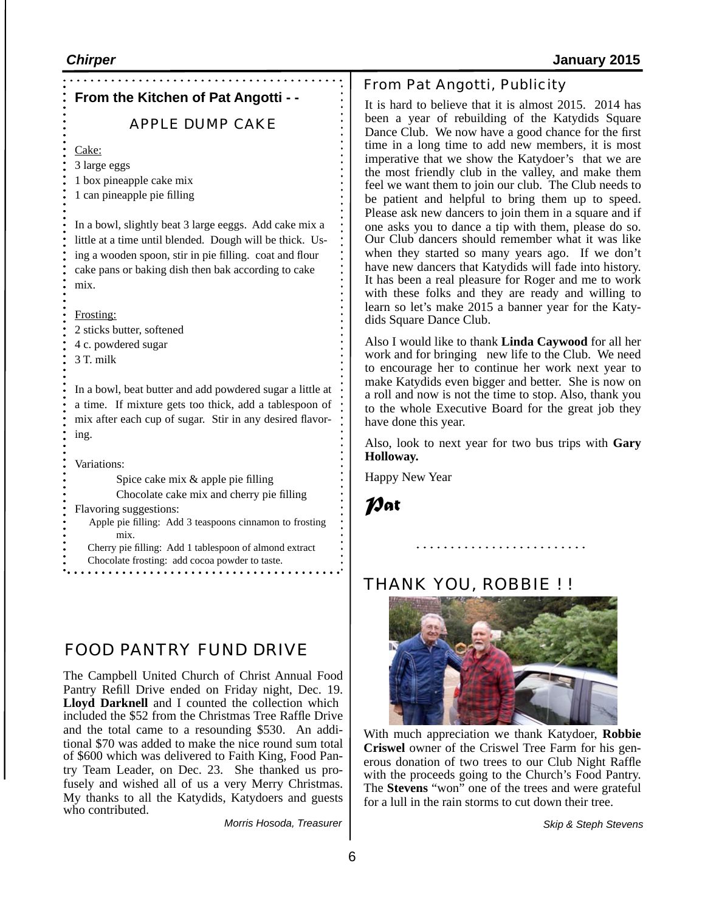## **From the Kitchen of Pat Angotti - -**

## APPLE DUMP CAKE

Cake:

- 3 large eggs 1 box pineapple cake mix
- 1 can pineapple pie filling

In a bowl, slightly beat 3 large eeggs. Add cake mix a little at a time until blended. Dough will be thick. Using a wooden spoon, stir in pie filling. coat and flour cake pans or baking dish then bak according to cake mix.

## Frosting:

2 sticks butter, softened 4 c. powdered sugar 3 T. milk

In a bowl, beat butter and add powdered sugar a little at a time. If mixture gets too thick, add a tablespoon of mix after each cup of sugar. Stir in any desired flavoring.

Variations:

Spice cake mix & apple pie filling Chocolate cake mix and cherry pie filling Flavoring suggestions:

 Apple pie filling: Add 3 teaspoons cinnamon to frosting mix.

Cherry pie filling: Add 1 tablespoon of almond extract

Chocolate frosting: add cocoa powder to taste.

## FOOD PANTRY FUND DRIVE

The Campbell United Church of Christ Annual Food Pantry Refill Drive ended on Friday night, Dec. 19. **Lloyd Darknell** and I counted the collection which included the \$52 from the Christmas Tree Raffle Drive and the total came to a resounding \$530. An additional \$70 was added to make the nice round sum total of \$600 which was delivered to Faith King, Food Pantry Team Leader, on Dec. 23. She thanked us profusely and wished all of us a very Merry Christmas. My thanks to all the Katydids, Katydoers and guests who contributed.

*Morris Hosoda, Treasurer*

## From Pat Angotti, Publicity

It is hard to believe that it is almost 2015. 2014 has been a year of rebuilding of the Katydids Square Dance Club. We now have a good chance for the first time in a long time to add new members, it is most imperative that we show the Katydoer's that we are the most friendly club in the valley, and make them feel we want them to join our club. The Club needs to be patient and helpful to bring them up to speed. Please ask new dancers to join them in a square and if one asks you to dance a tip with them, please do so. Our Club dancers should remember what it was like when they started so many years ago. If we don't have new dancers that Katydids will fade into history. It has been a real pleasure for Roger and me to work with these folks and they are ready and willing to learn so let's make 2015 a banner year for the Katydids Square Dance Club.

Also I would like to thank **Linda Caywood** for all her work and for bringing new life to the Club. We need to encourage her to continue her work next year to make Katydids even bigger and better. She is now on a roll and now is not the time to stop. Also, thank you to the whole Executive Board for the great job they have done this year.

Also, look to next year for two bus trips with **Gary Holloway.**

. **. . . . . . . . . . . . . . . . . .** .

Happy New Year

*Pat* 

## THANK YOU, ROBBIE ! !



With much appreciation we thank Katydoer, **Robbie Criswel** owner of the Criswel Tree Farm for his generous donation of two trees to our Club Night Raffle with the proceeds going to the Church's Food Pantry. The **Stevens** "won" one of the trees and were grateful for a lull in the rain storms to cut down their tree.

*Skip & Steph Stevens*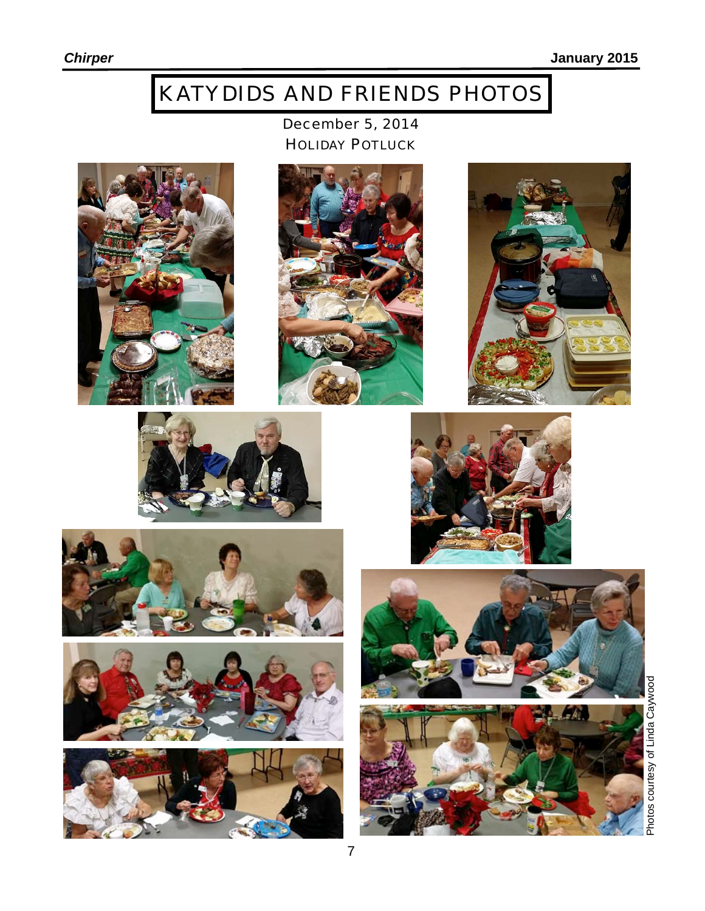# KATYDIDS AND FRIENDS PHOTOS

December 5, 2014 HOLIDAY POTLUCK

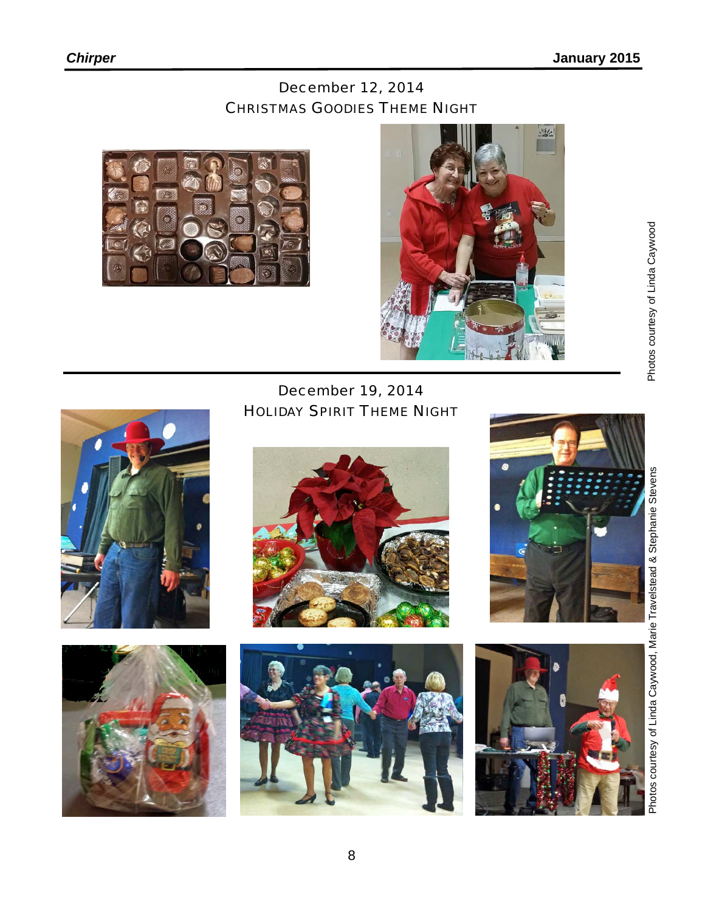## December 12, 2014 CHRISTMAS GOODIES THEME NIGHT





December 19, 2014 HOLIDAY SPIRIT THEME NIGHT













8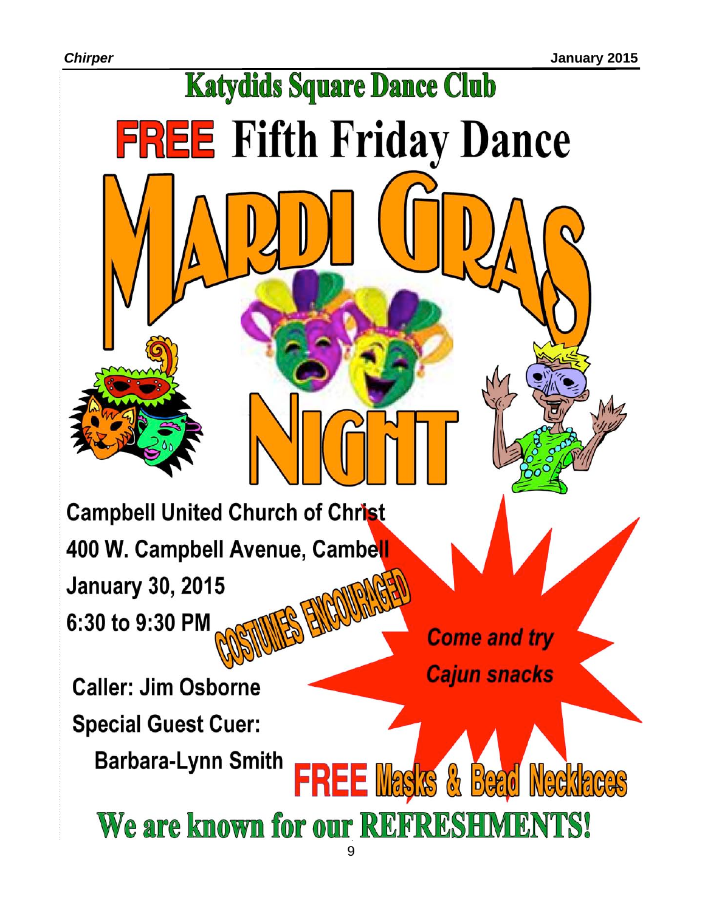